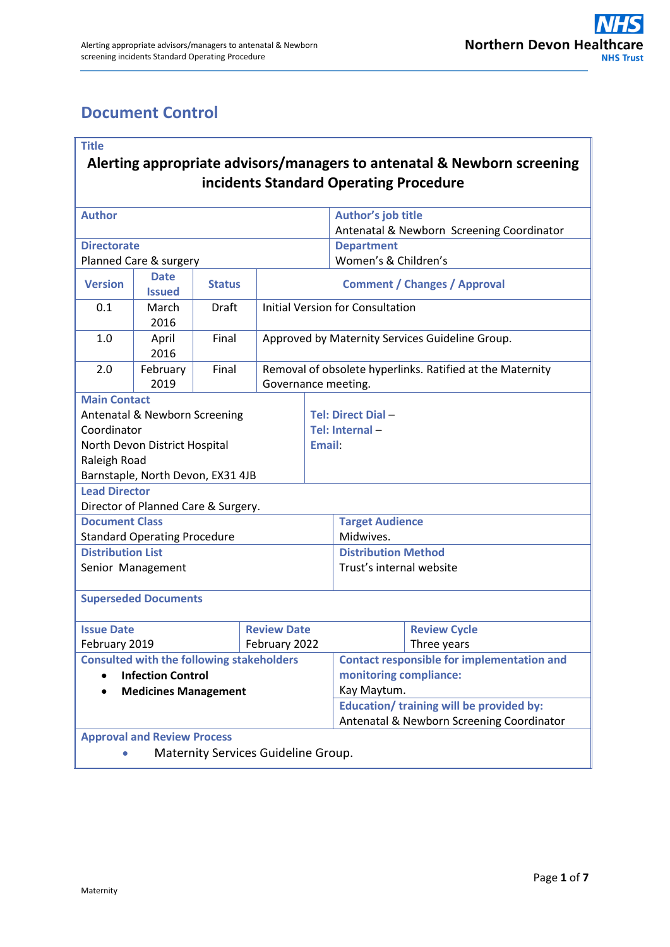# <span id="page-0-0"></span>**Document Control**

| ×<br>. . | ×<br>٧ |
|----------|--------|

# **Alerting appropriate advisors/managers to antenatal & Newborn screening incidents Standard Operating Procedure**

| <b>Author</b>                                    |                                     |                    |                                           | Author's job title                                        |                        |  |  |
|--------------------------------------------------|-------------------------------------|--------------------|-------------------------------------------|-----------------------------------------------------------|------------------------|--|--|
|                                                  |                                     |                    |                                           | Antenatal & Newborn Screening Coordinator                 |                        |  |  |
| <b>Directorate</b>                               |                                     |                    |                                           | <b>Department</b>                                         |                        |  |  |
|                                                  | Planned Care & surgery              |                    |                                           |                                                           | Women's & Children's   |  |  |
| <b>Version</b>                                   | <b>Date</b>                         | <b>Status</b>      |                                           |                                                           |                        |  |  |
|                                                  | <b>Issued</b>                       |                    |                                           | <b>Comment / Changes / Approval</b>                       |                        |  |  |
| 0.1                                              | March                               | <b>Draft</b>       |                                           | <b>Initial Version for Consultation</b>                   |                        |  |  |
|                                                  | 2016                                |                    |                                           |                                                           |                        |  |  |
| 1.0                                              | April                               | Final              |                                           | Approved by Maternity Services Guideline Group.           |                        |  |  |
|                                                  | 2016                                |                    |                                           |                                                           |                        |  |  |
| 2.0                                              | February                            | Final              |                                           | Removal of obsolete hyperlinks. Ratified at the Maternity |                        |  |  |
|                                                  | 2019                                |                    |                                           | Governance meeting.                                       |                        |  |  |
| <b>Main Contact</b>                              |                                     |                    |                                           |                                                           |                        |  |  |
| Antenatal & Newborn Screening                    |                                     |                    | Tel: Direct Dial-                         |                                                           |                        |  |  |
| Coordinator                                      |                                     |                    | Tel: Internal -                           |                                                           |                        |  |  |
|                                                  | North Devon District Hospital       |                    |                                           | <b>Email:</b>                                             |                        |  |  |
| Raleigh Road                                     |                                     |                    |                                           |                                                           |                        |  |  |
| Barnstaple, North Devon, EX31 4JB                |                                     |                    |                                           |                                                           |                        |  |  |
| <b>Lead Director</b>                             |                                     |                    |                                           |                                                           |                        |  |  |
|                                                  | Director of Planned Care & Surgery. |                    |                                           |                                                           |                        |  |  |
| <b>Document Class</b>                            |                                     |                    | <b>Target Audience</b>                    |                                                           |                        |  |  |
| <b>Standard Operating Procedure</b>              |                                     |                    |                                           | Midwives.                                                 |                        |  |  |
| <b>Distribution List</b>                         |                                     |                    |                                           | <b>Distribution Method</b>                                |                        |  |  |
| Senior Management                                |                                     |                    |                                           | Trust's internal website                                  |                        |  |  |
|                                                  |                                     |                    |                                           |                                                           |                        |  |  |
|                                                  | <b>Superseded Documents</b>         |                    |                                           |                                                           |                        |  |  |
|                                                  |                                     |                    |                                           |                                                           |                        |  |  |
| <b>Issue Date</b>                                |                                     | <b>Review Date</b> |                                           |                                                           | <b>Review Cycle</b>    |  |  |
| February 2019<br>February 2022                   |                                     |                    |                                           | Three years                                               |                        |  |  |
| <b>Consulted with the following stakeholders</b> |                                     |                    |                                           | <b>Contact responsible for implementation and</b>         |                        |  |  |
| $\bullet$                                        | <b>Infection Control</b>            |                    |                                           |                                                           | monitoring compliance: |  |  |
| <b>Medicines Management</b><br>$\bullet$         |                                     |                    |                                           | Kay Maytum.                                               |                        |  |  |
|                                                  |                                     |                    |                                           | Education/ training will be provided by:                  |                        |  |  |
|                                                  |                                     |                    | Antenatal & Newborn Screening Coordinator |                                                           |                        |  |  |
| <b>Approval and Review Process</b>               |                                     |                    |                                           |                                                           |                        |  |  |
| Maternity Services Guideline Group.              |                                     |                    |                                           |                                                           |                        |  |  |

ı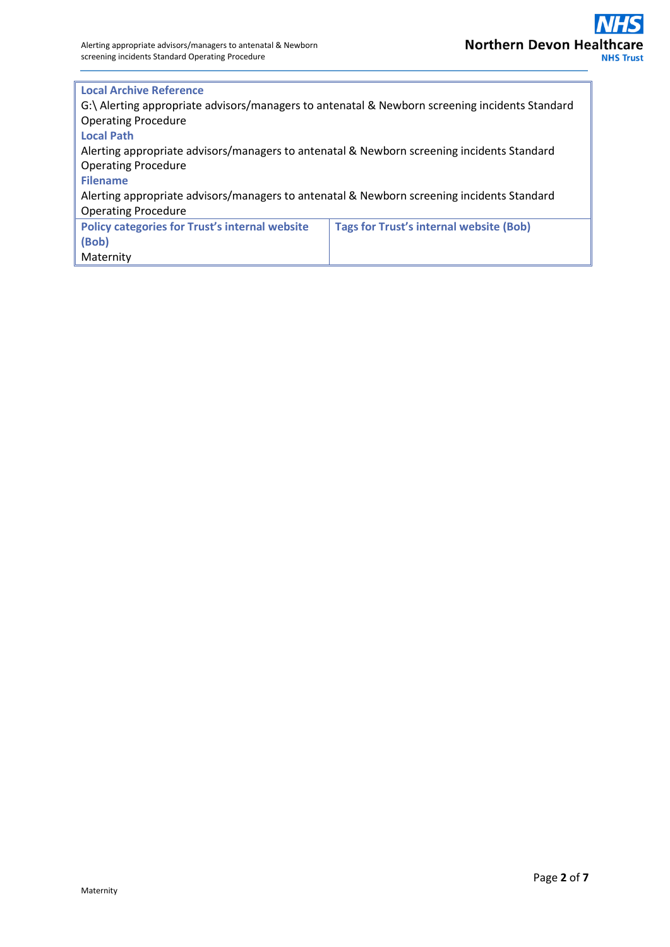| <b>Local Archive Reference</b>                                                                 |                                                |  |  |  |  |  |
|------------------------------------------------------------------------------------------------|------------------------------------------------|--|--|--|--|--|
| G:\ Alerting appropriate advisors/managers to antenatal & Newborn screening incidents Standard |                                                |  |  |  |  |  |
| <b>Operating Procedure</b>                                                                     |                                                |  |  |  |  |  |
| <b>Local Path</b>                                                                              |                                                |  |  |  |  |  |
| Alerting appropriate advisors/managers to antenatal & Newborn screening incidents Standard     |                                                |  |  |  |  |  |
| <b>Operating Procedure</b>                                                                     |                                                |  |  |  |  |  |
| <b>Filename</b>                                                                                |                                                |  |  |  |  |  |
| Alerting appropriate advisors/managers to antenatal & Newborn screening incidents Standard     |                                                |  |  |  |  |  |
| <b>Operating Procedure</b>                                                                     |                                                |  |  |  |  |  |
| <b>Policy categories for Trust's internal website</b>                                          | <b>Tags for Trust's internal website (Bob)</b> |  |  |  |  |  |
| (Bob)                                                                                          |                                                |  |  |  |  |  |
| Maternity                                                                                      |                                                |  |  |  |  |  |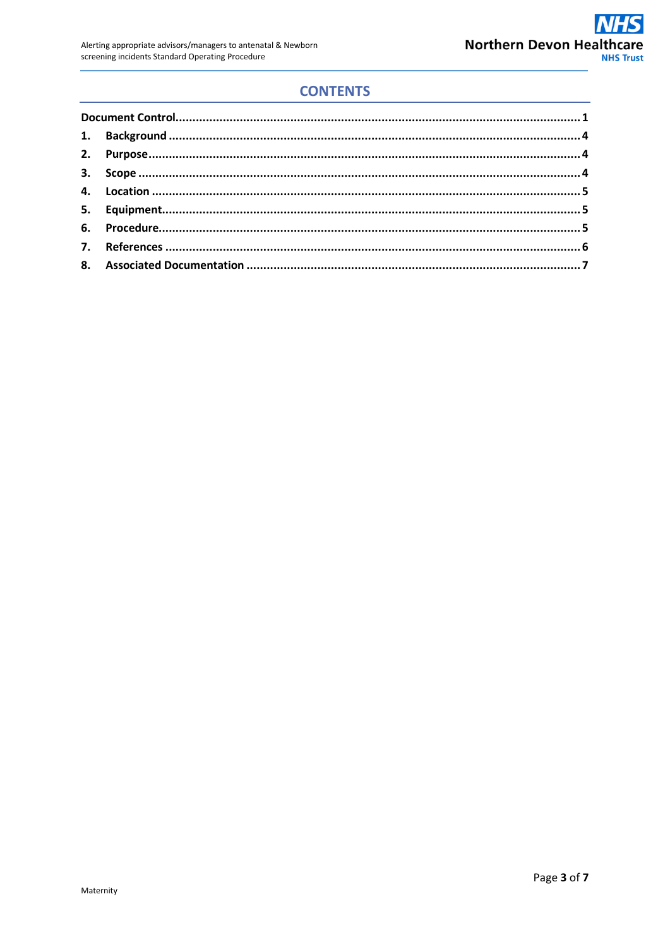## **CONTENTS**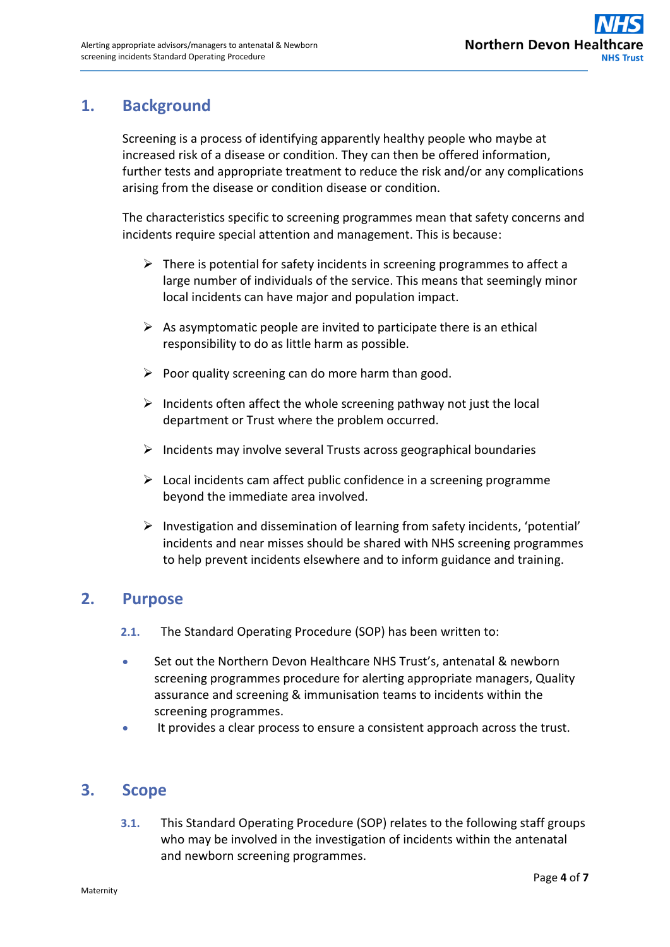# <span id="page-3-0"></span>**1. Background**

Screening is a process of identifying apparently healthy people who maybe at increased risk of a disease or condition. They can then be offered information, further tests and appropriate treatment to reduce the risk and/or any complications arising from the disease or condition disease or condition.

The characteristics specific to screening programmes mean that safety concerns and incidents require special attention and management. This is because:

- $\triangleright$  There is potential for safety incidents in screening programmes to affect a large number of individuals of the service. This means that seemingly minor local incidents can have major and population impact.
- $\triangleright$  As asymptomatic people are invited to participate there is an ethical responsibility to do as little harm as possible.
- $\triangleright$  Poor quality screening can do more harm than good.
- $\triangleright$  Incidents often affect the whole screening pathway not just the local department or Trust where the problem occurred.
- $\triangleright$  Incidents may involve several Trusts across geographical boundaries
- $\triangleright$  Local incidents cam affect public confidence in a screening programme beyond the immediate area involved.
- $\triangleright$  Investigation and dissemination of learning from safety incidents, 'potential' incidents and near misses should be shared with NHS screening programmes to help prevent incidents elsewhere and to inform guidance and training.

## <span id="page-3-1"></span>**2. Purpose**

- **2.1.** The Standard Operating Procedure (SOP) has been written to:
- Set out the Northern Devon Healthcare NHS Trust's, antenatal & newborn screening programmes procedure for alerting appropriate managers, Quality assurance and screening & immunisation teams to incidents within the screening programmes.
- It provides a clear process to ensure a consistent approach across the trust.

## <span id="page-3-2"></span>**3. Scope**

**3.1.** This Standard Operating Procedure (SOP) relates to the following staff groups who may be involved in the investigation of incidents within the antenatal and newborn screening programmes.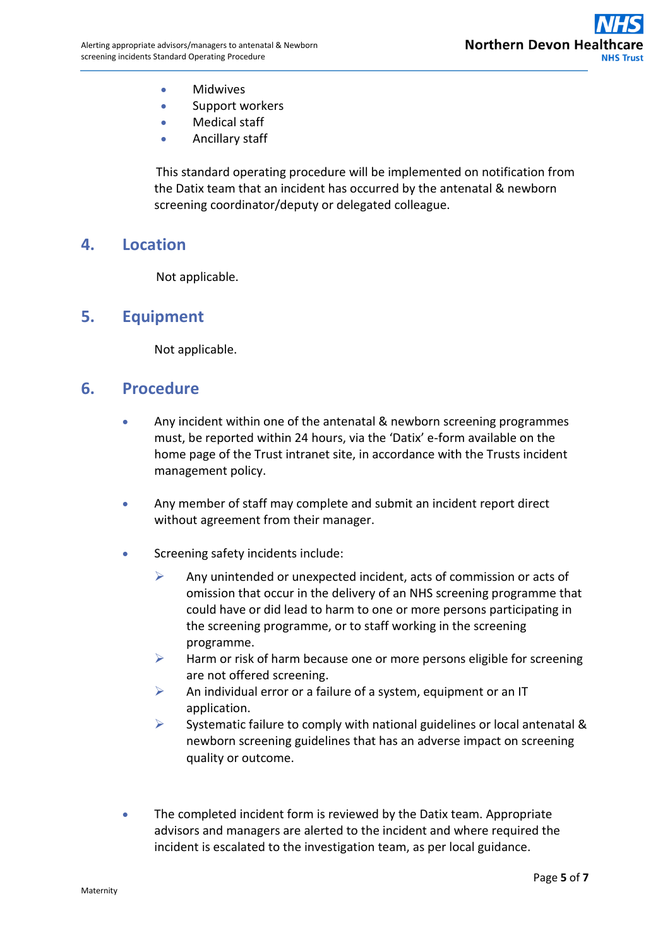- **•** Midwives
- Support workers
- Medical staff
- **•** Ancillary staff

 This standard operating procedure will be implemented on notification from the Datix team that an incident has occurred by the antenatal & newborn screening coordinator/deputy or delegated colleague.

### <span id="page-4-0"></span>**4. Location**

Not applicable.

### <span id="page-4-1"></span>**5. Equipment**

Not applicable.

#### <span id="page-4-2"></span>**6. Procedure**

- Any incident within one of the antenatal & newborn screening programmes must, be reported within 24 hours, via the 'Datix' e-form available on the home page of the Trust intranet site, in accordance with the Trusts incident management policy.
- Any member of staff may complete and submit an incident report direct without agreement from their manager.
- **SCREENING SAFETY Incidents include:** 
	- $\triangleright$  Any unintended or unexpected incident, acts of commission or acts of omission that occur in the delivery of an NHS screening programme that could have or did lead to harm to one or more persons participating in the screening programme, or to staff working in the screening programme.
	- $\triangleright$  Harm or risk of harm because one or more persons eligible for screening are not offered screening.
	- $\triangleright$  An individual error or a failure of a system, equipment or an IT application.
	- $\triangleright$  Systematic failure to comply with national guidelines or local antenatal & newborn screening guidelines that has an adverse impact on screening quality or outcome.
- The completed incident form is reviewed by the Datix team. Appropriate advisors and managers are alerted to the incident and where required the incident is escalated to the investigation team, as per local guidance.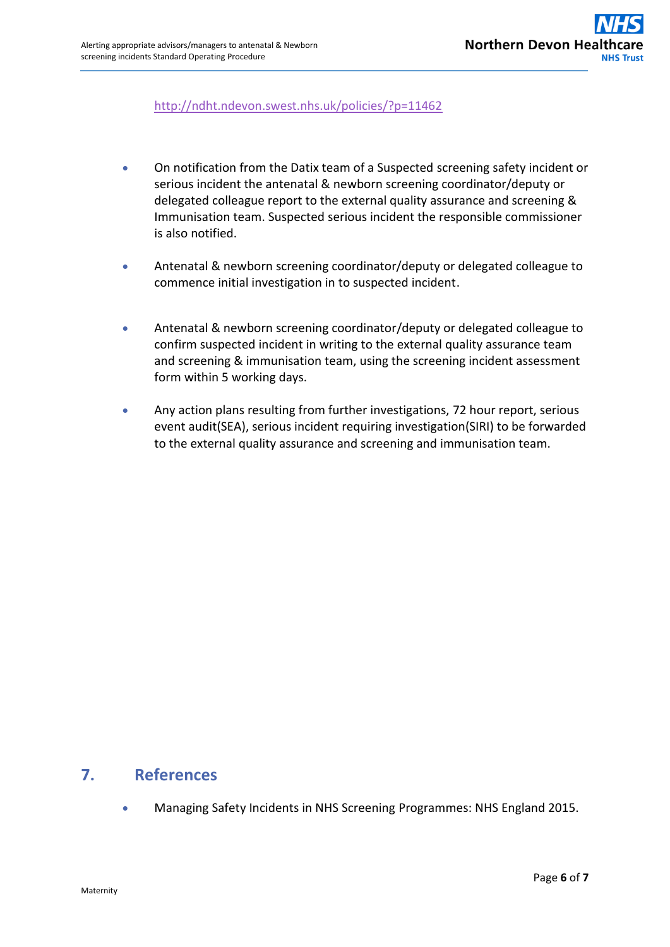#### <http://ndht.ndevon.swest.nhs.uk/policies/?p=11462>

- On notification from the Datix team of a Suspected screening safety incident or serious incident the antenatal & newborn screening coordinator/deputy or delegated colleague report to the external quality assurance and screening & Immunisation team. Suspected serious incident the responsible commissioner is also notified.
- Antenatal & newborn screening coordinator/deputy or delegated colleague to commence initial investigation in to suspected incident.
- Antenatal & newborn screening coordinator/deputy or delegated colleague to confirm suspected incident in writing to the external quality assurance team and screening & immunisation team, using the screening incident assessment form within 5 working days.
- Any action plans resulting from further investigations, 72 hour report, serious event audit(SEA), serious incident requiring investigation(SIRI) to be forwarded to the external quality assurance and screening and immunisation team.

### **7. References**

<span id="page-5-0"></span>Managing Safety Incidents in NHS Screening Programmes: NHS England 2015.